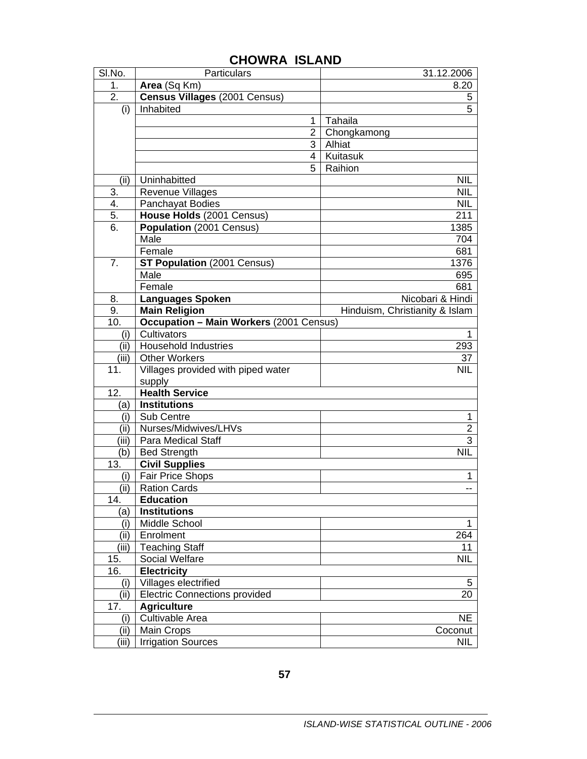| SI.No.           | Particulars                                    | 31.12.2006                     |
|------------------|------------------------------------------------|--------------------------------|
| 1.               | Area (Sq Km)                                   | 8.20                           |
| $\overline{2}$ . | Census Villages (2001 Census)                  | 5                              |
| (i)              | Inhabited                                      | 5                              |
|                  | 1                                              | Tahaila                        |
|                  | $\overline{2}$                                 | Chongkamong                    |
|                  | 3                                              | Alhiat                         |
|                  | 4                                              | Kuitasuk                       |
|                  | 5                                              | Raihion                        |
| (ii)             | Uninhabitted                                   | <b>NIL</b>                     |
| 3.               | <b>Revenue Villages</b>                        | <b>NIL</b>                     |
| 4.               | Panchayat Bodies                               | <b>NIL</b>                     |
| 5.               | House Holds (2001 Census)                      | 211                            |
| 6.               | Population (2001 Census)                       | 1385                           |
|                  | Male                                           | 704                            |
|                  | Female                                         | 681                            |
| 7.               | <b>ST Population (2001 Census)</b>             | 1376                           |
|                  | Male                                           | 695                            |
|                  | Female                                         | 681                            |
| 8.               | <b>Languages Spoken</b>                        | Nicobari & Hindi               |
| 9.               | <b>Main Religion</b>                           | Hinduism, Christianity & Islam |
| 10.              | <b>Occupation - Main Workers (2001 Census)</b> |                                |
| (i)              | Cultivators                                    | 1                              |
| (ii)             | <b>Household Industries</b>                    | 293                            |
| (iii)            | <b>Other Workers</b>                           | 37                             |
| 11.              | Villages provided with piped water             | <b>NIL</b>                     |
|                  | supply                                         |                                |
| 12.              | <b>Health Service</b>                          |                                |
| (a)              | <b>Institutions</b>                            |                                |
| (i)              | Sub Centre                                     | 1                              |
| (ii)             | Nurses/Midwives/LHVs                           | $\overline{2}$                 |
| (iii)            | Para Medical Staff                             | 3                              |
| (b)              | <b>Bed Strength</b>                            | <b>NIL</b>                     |
| 13.              | <b>Civil Supplies</b>                          |                                |
| (i)              | Fair Price Shops                               | 1                              |
| (ii)             | <b>Ration Cards</b>                            | --                             |
| 14.              | <b>Education</b>                               |                                |
| (a)              | <b>Institutions</b>                            |                                |
| (i)              | Middle School                                  | 1                              |
| (ii)             | Enrolment                                      | 264                            |
| (iii)            | <b>Teaching Staff</b>                          | 11                             |
| 15.              | <b>Social Welfare</b>                          | <b>NIL</b>                     |
| 16.              | <b>Electricity</b>                             |                                |
| (i)              | Villages electrified                           | 5                              |
| (iii)            | <b>Electric Connections provided</b>           | 20                             |
| 17.              | <b>Agriculture</b>                             |                                |
| (i)              | Cultivable Area                                | <b>NE</b>                      |
| (ii)             | <b>Main Crops</b>                              | Coconut                        |
| (iii)            | <b>Irrigation Sources</b>                      | NIL                            |

## **CHOWRA ISLAND**